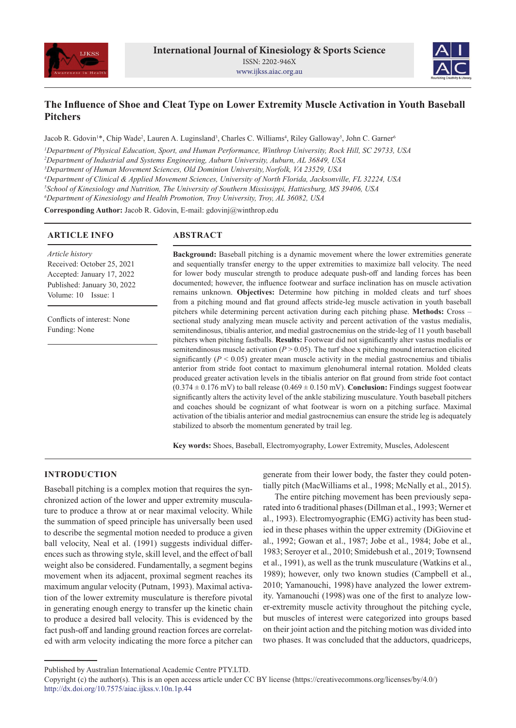



# **The Influence of Shoe and Cleat Type on Lower Extremity Muscle Activation in Youth Baseball Pitchers**

Jacob R. Gdovin<sup>1\*</sup>, Chip Wade<sup>2</sup>, Lauren A. Luginsland<sup>3</sup>, Charles C. Williams<sup>4</sup>, Riley Galloway<sup>5</sup>, John C. Garner<sup>6</sup>

*1 Department of Physical Education, Sport, and Human Performance, Winthrop University, Rock Hill, SC 29733, USA*

*2 Department of Industrial and Systems Engineering, Auburn University, Auburn, AL 36849, USA*

*3 Department of Human Movement Sciences, Old Dominion University,Norfolk, VA 23529, USA*

*4 Department of Clinical & Applied Movement Sciences, University of North Florida, Jacksonville, FL 32224, USA*

*5 School of Kinesiology and Nutrition, The University of Southern Mississippi, Hattiesburg, MS 39406, USA*

*6 Department of Kinesiology and Health Promotion, Troy University, Troy, AL 36082, USA*

**Corresponding Author:** Jacob R. Gdovin, E-mail: gdovinj@winthrop.edu

## **ARTICLE INFO**

# **ABSTRACT**

*Article history* Received: October 25, 2021 Accepted: January 17, 2022 Published: January 30, 2022 Volume: 10 Issue: 1

Conflicts of interest: None Funding: None

**Background:** Baseball pitching is a dynamic movement where the lower extremities generate and sequentially transfer energy to the upper extremities to maximize ball velocity. The need for lower body muscular strength to produce adequate push-off and landing forces has been documented; however, the influence footwear and surface inclination has on muscle activation remains unknown. **Objectives:** Determine how pitching in molded cleats and turf shoes from a pitching mound and flat ground affects stride-leg muscle activation in youth baseball pitchers while determining percent activation during each pitching phase. **Methods:** Cross – sectional study analyzing mean muscle activity and percent activation of the vastus medialis, semitendinosus, tibialis anterior, and medial gastrocnemius on the stride-leg of 11 youth baseball pitchers when pitching fastballs. **Results:** Footwear did not significantly alter vastus medialis or semitendinosus muscle activation  $(P > 0.05)$ . The turf shoe x pitching mound interaction elicited significantly  $(P < 0.05)$  greater mean muscle activity in the medial gastrocnemius and tibialis anterior from stride foot contact to maximum glenohumeral internal rotation. Molded cleats produced greater activation levels in the tibialis anterior on flat ground from stride foot contact  $(0.374 \pm 0.176 \text{ mV})$  to ball release  $(0.469 \pm 0.150 \text{ mV})$ . **Conclusion:** Findings suggest footwear significantly alters the activity level of the ankle stabilizing musculature. Youth baseball pitchers and coaches should be cognizant of what footwear is worn on a pitching surface. Maximal activation of the tibialis anterior and medial gastrocnemius can ensure the stride leg is adequately stabilized to absorb the momentum generated by trail leg.

**Key words:** Shoes, Baseball, Electromyography, Lower Extremity, Muscles, Adolescent

## **INTRODUCTION**

Baseball pitching is a complex motion that requires the synchronized action of the lower and upper extremity musculature to produce a throw at or near maximal velocity. While the summation of speed principle has universally been used to describe the segmental motion needed to produce a given ball velocity, Neal et al. (1991) suggests individual differences such as throwing style, skill level, and the effect of ball weight also be considered. Fundamentally, a segment begins movement when its adjacent, proximal segment reaches its maximum angular velocity (Putnam, 1993). Maximal activation of the lower extremity musculature is therefore pivotal in generating enough energy to transfer up the kinetic chain to produce a desired ball velocity. This is evidenced by the fact push-off and landing ground reaction forces are correlated with arm velocity indicating the more force a pitcher can

generate from their lower body, the faster they could potentially pitch (MacWilliams et al., 1998; McNally et al., 2015).

The entire pitching movement has been previously separated into 6 traditional phases (Dillman et al., 1993; Werner et al., 1993). Electromyographic (EMG) activity has been studied in these phases within the upper extremity (DiGiovine et al., 1992; Gowan et al., 1987; Jobe et al., 1984; Jobe et al., 1983; Seroyer et al., 2010; Smidebush et al., 2019; Townsend et al., 1991), as well as the trunk musculature (Watkins et al., 1989); however, only two known studies (Campbell et al., 2010; Yamanouchi, 1998) have analyzed the lower extremity. Yamanouchi (1998) was one of the first to analyze lower-extremity muscle activity throughout the pitching cycle, but muscles of interest were categorized into groups based on their joint action and the pitching motion was divided into two phases. It was concluded that the adductors, quadriceps,

Published by Australian International Academic Centre PTY.LTD.

Copyright (c) the author(s). This is an open access article under CC BY license (https://creativecommons.org/licenses/by/4.0/) http://dx.doi.org/10.7575/aiac.ijkss.v.10n.1p.44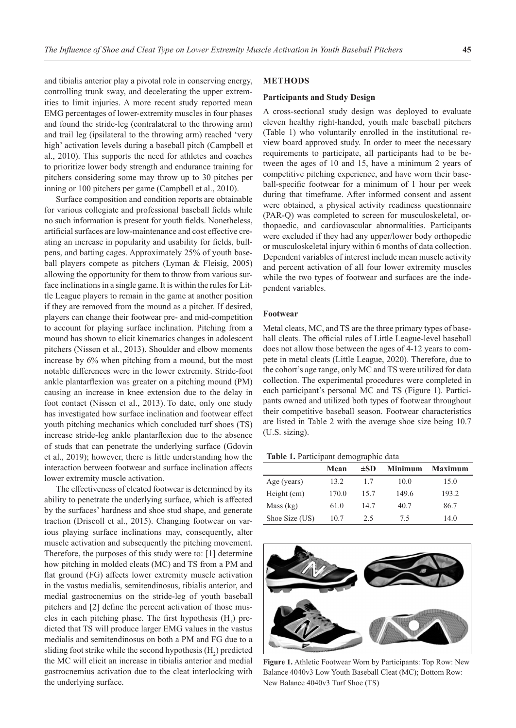and tibialis anterior play a pivotal role in conserving energy, controlling trunk sway, and decelerating the upper extremities to limit injuries. A more recent study reported mean EMG percentages of lower-extremity muscles in four phases and found the stride-leg (contralateral to the throwing arm) and trail leg (ipsilateral to the throwing arm) reached 'very high' activation levels during a baseball pitch (Campbell et al., 2010). This supports the need for athletes and coaches to prioritize lower body strength and endurance training for pitchers considering some may throw up to 30 pitches per inning or 100 pitchers per game (Campbell et al., 2010).

Surface composition and condition reports are obtainable for various collegiate and professional baseball fields while no such information is present for youth fields. Nonetheless, artificial surfaces are low-maintenance and cost effective creating an increase in popularity and usability for fields, bullpens, and batting cages. Approximately 25% of youth baseball players compete as pitchers (Lyman & Fleisig, 2005) allowing the opportunity for them to throw from various surface inclinations in a single game. It is within the rules for Little League players to remain in the game at another position if they are removed from the mound as a pitcher. If desired, players can change their footwear pre- and mid-competition to account for playing surface inclination. Pitching from a mound has shown to elicit kinematics changes in adolescent pitchers (Nissen et al., 2013). Shoulder and elbow moments increase by 6% when pitching from a mound, but the most notable differences were in the lower extremity. Stride-foot ankle plantarflexion was greater on a pitching mound (PM) causing an increase in knee extension due to the delay in foot contact (Nissen et al., 2013). To date, only one study has investigated how surface inclination and footwear effect youth pitching mechanics which concluded turf shoes (TS) increase stride-leg ankle plantarflexion due to the absence of studs that can penetrate the underlying surface (Gdovin et al., 2019); however, there is little understanding how the interaction between footwear and surface inclination affects lower extremity muscle activation.

The effectiveness of cleated footwear is determined by its ability to penetrate the underlying surface, which is affected by the surfaces' hardness and shoe stud shape, and generate traction (Driscoll et al., 2015). Changing footwear on various playing surface inclinations may, consequently, alter muscle activation and subsequently the pitching movement. Therefore, the purposes of this study were to: [1] determine how pitching in molded cleats (MC) and TS from a PM and flat ground (FG) affects lower extremity muscle activation in the vastus medialis, semitendinosus, tibialis anterior, and medial gastrocnemius on the stride-leg of youth baseball pitchers and [2] define the percent activation of those muscles in each pitching phase. The first hypothesis  $(H_1)$  predicted that TS will produce larger EMG values in the vastus medialis and semitendinosus on both a PM and FG due to a sliding foot strike while the second hypothesis  $\rm(H_{2})$  predicted the MC will elicit an increase in tibialis anterior and medial gastrocnemius activation due to the cleat interlocking with the underlying surface.

## **METHODS**

#### **Participants and Study Design**

A cross-sectional study design was deployed to evaluate eleven healthy right-handed, youth male baseball pitchers (Table 1) who voluntarily enrolled in the institutional review board approved study. In order to meet the necessary requirements to participate, all participants had to be between the ages of 10 and 15, have a minimum 2 years of competitive pitching experience, and have worn their baseball-specific footwear for a minimum of 1 hour per week during that timeframe. After informed consent and assent were obtained, a physical activity readiness questionnaire (PAR-Q) was completed to screen for musculoskeletal, orthopaedic, and cardiovascular abnormalities. Participants were excluded if they had any upper/lower body orthopedic or musculoskeletal injury within 6 months of data collection. Dependent variables of interest include mean muscle activity and percent activation of all four lower extremity muscles while the two types of footwear and surfaces are the independent variables.

#### **Footwear**

Metal cleats, MC, and TS are the three primary types of baseball cleats. The official rules of Little League-level baseball does not allow those between the ages of 4-12 years to compete in metal cleats (Little League, 2020). Therefore, due to the cohort's age range, only MC and TS were utilized for data collection. The experimental procedures were completed in each participant's personal MC and TS (Figure 1). Participants owned and utilized both types of footwear throughout their competitive baseball season. Footwear characteristics are listed in Table 2 with the average shoe size being 10.7 (U.S. sizing).

**Table 1.** Participant demographic data

|                | Mean  | $\pm SD$ | <b>Minimum</b> | <b>Maximum</b> |
|----------------|-------|----------|----------------|----------------|
| Age (years)    | 13.2  | 1.7      | 10.0           | 15.0           |
| Height (cm)    | 170.0 | 15.7     | 149.6          | 193.2          |
| Mass (kg)      | 61.0  | 14.7     | 40.7           | 86.7           |
| Shoe Size (US) | 10.7  | 2.5      | 7.5            | 14.0           |



**Figure 1.** Athletic Footwear Worn by Participants: Top Row: New Balance 4040v3 Low Youth Baseball Cleat (MC); Bottom Row: New Balance 4040v3 Turf Shoe (TS)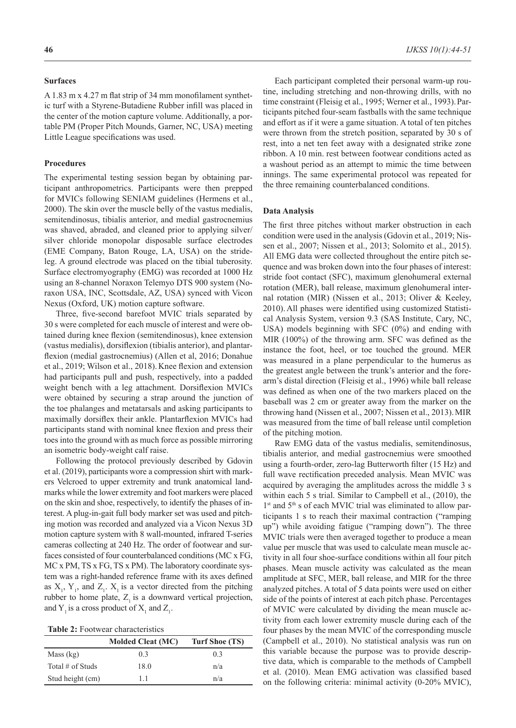### **Surfaces**

A 1.83 m x 4.27 m flat strip of 34 mm monofilament synthetic turf with a Styrene-Butadiene Rubber infill was placed in the center of the motion capture volume. Additionally, a portable PM (Proper Pitch Mounds, Garner, NC, USA) meeting Little League specifications was used.

#### **Procedures**

The experimental testing session began by obtaining participant anthropometrics. Participants were then prepped for MVICs following SENIAM guidelines (Hermens et al., 2000). The skin over the muscle belly of the vastus medialis, semitendinosus, tibialis anterior, and medial gastrocnemius was shaved, abraded, and cleaned prior to applying silver/ silver chloride monopolar disposable surface electrodes (EME Company, Baton Rouge, LA, USA) on the strideleg. A ground electrode was placed on the tibial tuberosity. Surface electromyography (EMG) was recorded at 1000 Hz using an 8-channel Noraxon Telemyo DTS 900 system (Noraxon USA, INC, Scottsdale, AZ, USA) synced with Vicon Nexus (Oxford, UK) motion capture software.

Three, five-second barefoot MVIC trials separated by 30 s were completed for each muscle of interest and were obtained during knee flexion (semitendinosus), knee extension (vastus medialis), dorsiflexion (tibialis anterior), and plantarflexion (medial gastrocnemius) (Allen et al, 2016; Donahue et al., 2019; Wilson et al., 2018).Knee flexion and extension had participants pull and push, respectively, into a padded weight bench with a leg attachment. Dorsiflexion MVICs were obtained by securing a strap around the junction of the toe phalanges and metatarsals and asking participants to maximally dorsiflex their ankle. Plantarflexion MVICs had participants stand with nominal knee flexion and press their toes into the ground with as much force as possible mirroring an isometric body-weight calf raise.

Following the protocol previously described by Gdovin et al. (2019), participants wore a compression shirt with markers Velcroed to upper extremity and trunk anatomical landmarks while the lower extremity and foot markers were placed on the skin and shoe, respectively, to identify the phases of interest. A plug-in-gait full body marker set was used and pitching motion was recorded and analyzed via a Vicon Nexus 3D motion capture system with 8 wall-mounted, infrared T-series cameras collecting at 240 Hz. The order of footwear and surfaces consisted of four counterbalanced conditions (MC x FG, MC x PM, TS x FG, TS x PM). The laboratory coordinate system was a right-handed reference frame with its axes defined as  $X_1$ ,  $Y_1$ , and  $Z_1$ .  $X_1$  is a vector directed from the pitching rubber to home plate,  $Z_1$  is a downward vertical projection, and  $Y_1$  is a cross product of  $X_1$  and  $Z_1$ .

| Table 2: Footwear characteristics |  |
|-----------------------------------|--|
|-----------------------------------|--|

|                     | <b>Molded Cleat (MC)</b> | Turf Shoe (TS) |
|---------------------|--------------------------|----------------|
| Mass (kg)           | 0.3                      | 0.3            |
| Total $\#$ of Studs | 18.0                     | n/a            |
| Stud height (cm)    | 11                       | n/a            |

Each participant completed their personal warm-up routine, including stretching and non-throwing drills, with no time constraint (Fleisig et al., 1995; Werner et al., 1993).Participants pitched four-seam fastballs with the same technique and effort as if it were a game situation. A total of ten pitches were thrown from the stretch position, separated by 30 s of rest, into a net ten feet away with a designated strike zone ribbon. A 10 min. rest between footwear conditions acted as a washout period as an attempt to mimic the time between innings. The same experimental protocol was repeated for the three remaining counterbalanced conditions.

### **Data Analysis**

The first three pitches without marker obstruction in each condition were used in the analysis (Gdovin et al., 2019; Nissen et al., 2007; Nissen et al., 2013; Solomito et al., 2015). All EMG data were collected throughout the entire pitch sequence and was broken down into the four phases of interest: stride foot contact (SFC), maximum glenohumeral external rotation (MER), ball release, maximum glenohumeral internal rotation (MIR) (Nissen et al., 2013; Oliver & Keeley, 2010). All phases were identified using customized Statistical Analysis System, version 9.3 (SAS Institute, Cary, NC, USA) models beginning with SFC (0%) and ending with MIR (100%) of the throwing arm. SFC was defined as the instance the foot, heel, or toe touched the ground. MER was measured in a plane perpendicular to the humerus as the greatest angle between the trunk's anterior and the forearm's distal direction (Fleisig et al., 1996) while ball release was defined as when one of the two markers placed on the baseball was 2 cm or greater away from the marker on the throwing hand (Nissen et al., 2007; Nissen et al., 2013). MIR was measured from the time of ball release until completion of the pitching motion.

Raw EMG data of the vastus medialis, semitendinosus, tibialis anterior, and medial gastrocnemius were smoothed using a fourth-order, zero-lag Butterworth filter (15 Hz) and full wave rectification preceded analysis. Mean MVIC was acquired by averaging the amplitudes across the middle 3 s within each 5 s trial. Similar to Campbell et al., (2010), the 1st and 5<sup>th</sup> s of each MVIC trial was eliminated to allow participants 1 s to reach their maximal contraction ("ramping up") while avoiding fatigue ("ramping down"). The three MVIC trials were then averaged together to produce a mean value per muscle that was used to calculate mean muscle activity in all four shoe-surface conditions within all four pitch phases. Mean muscle activity was calculated as the mean amplitude at SFC, MER, ball release, and MIR for the three analyzed pitches. A total of 5 data points were used on either side of the points of interest at each pitch phase. Percentages of MVIC were calculated by dividing the mean muscle activity from each lower extremity muscle during each of the four phases by the mean MVIC of the corresponding muscle (Campbell et al., 2010). No statistical analysis was run on this variable because the purpose was to provide descriptive data, which is comparable to the methods of Campbell et al. (2010). Mean EMG activation was classified based on the following criteria: minimal activity (0-20% MVIC),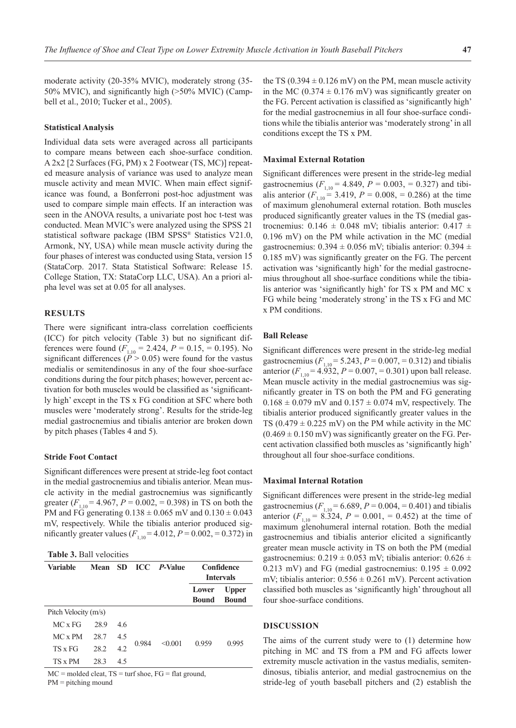moderate activity (20-35% MVIC), moderately strong (35- 50% MVIC), and significantly high (>50% MVIC) (Campbell et al., 2010; Tucker et al., 2005).

#### **Statistical Analysis**

Individual data sets were averaged across all participants to compare means between each shoe-surface condition. A 2x2 [2 Surfaces (FG, PM) x 2 Footwear (TS, MC)] repeated measure analysis of variance was used to analyze mean muscle activity and mean MVIC. When main effect significance was found, a Bonferroni post-hoc adjustment was used to compare simple main effects. If an interaction was seen in the ANOVA results, a univariate post hoc t-test was conducted. Mean MVIC's were analyzed using the SPSS 21 statistical software package (IBM SPSS® Statistics V21.0, Armonk, NY, USA) while mean muscle activity during the four phases of interest was conducted using Stata, version 15 (StataCorp. 2017. Stata Statistical Software: Release 15. College Station, TX: StataCorp LLC, USA). An a priori alpha level was set at 0.05 for all analyses.

## **RESULTS**

There were significant intra-class correlation coefficients (ICC) for pitch velocity (Table 3) but no significant differences were found  $(F_{1,10} = 2.424, P = 0.15, = 0.195)$ . No significant differences ( $\hat{P} > 0.05$ ) were found for the vastus medialis or semitendinosus in any of the four shoe-surface conditions during the four pitch phases; however, percent activation for both muscles would be classified as 'significantly high' except in the TS x FG condition at SFC where both muscles were 'moderately strong'. Results for the stride-leg medial gastrocnemius and tibialis anterior are broken down by pitch phases (Tables 4 and 5).

### **Stride Foot Contact**

Significant differences were present at stride-leg foot contact in the medial gastrocnemius and tibialis anterior. Mean muscle activity in the medial gastrocnemius was significantly greater  $(F_{1,10} = 4.967, P = 0.002, = 0.398)$  in TS on both the PM and FG generating  $0.138 \pm 0.065$  mV and  $0.130 \pm 0.043$ mV, respectively. While the tibialis anterior produced significantly greater values  $(F_{1,10} = 4.012, P = 0.002, = 0.372)$  in

**Table 3.** Ball velocities

| Variable             | Mean | - SD |       | <b>ICC</b> <i>P</i> -Value |                | Confidence<br><b>Intervals</b> |
|----------------------|------|------|-------|----------------------------|----------------|--------------------------------|
|                      |      |      |       |                            | Lower<br>Bound | <b>Upper</b><br><b>Bound</b>   |
| Pitch Velocity (m/s) |      |      |       |                            |                |                                |
| MC x FG              | 28.9 | 4.6  |       |                            |                |                                |
| MC x PM              | 28.7 | 4.5  |       |                            |                |                                |
| TS x FG              | 28.2 | 4.2  | 0.984 | < 0.001                    | 0.959          | 0.995                          |
| TS x PM              | 28.3 | 4.5  |       |                            |                |                                |

 $MC =$  molded cleat,  $TS =$  turf shoe,  $FG =$  flat ground,

PM = pitching mound

the TS (0.394  $\pm$  0.126 mV) on the PM, mean muscle activity in the MC (0.374  $\pm$  0.176 mV) was significantly greater on the FG. Percent activation is classified as 'significantly high' for the medial gastrocnemius in all four shoe-surface conditions while the tibialis anterior was 'moderately strong' in all conditions except the TS x PM.

#### **Maximal External Rotation**

Significant differences were present in the stride-leg medial gastrocnemius ( $F_{1,10} = 4.849$ ,  $P = 0.003$ , = 0.327) and tibialis anterior  $(F_{1,10} = 3.419, P = 0.008, = 0.286)$  at the time of maximum glenohumeral external rotation. Both muscles produced significantly greater values in the TS (medial gastrocnemius:  $0.146 \pm 0.048$  mV; tibialis anterior:  $0.417 \pm 0.048$ 0.196 mV) on the PM while activation in the MC (medial gastrocnemius:  $0.394 \pm 0.056$  mV; tibialis anterior:  $0.394 \pm 0.056$ 0.185 mV) was significantly greater on the FG. The percent activation was 'significantly high' for the medial gastrocnemius throughout all shoe-surface conditions while the tibialis anterior was 'significantly high' for TS x PM and MC x FG while being 'moderately strong' in the TS x FG and MC x PM conditions.

## **Ball Release**

Significant differences were present in the stride-leg medial gastrocnemius ( $F_{1,10} = 5.243$ ,  $P = 0.007$ ,  $= 0.312$ ) and tibialis anterior  $(F_{1,10} = 4.932, P = 0.007, = 0.301)$  upon ball release. Mean muscle activity in the medial gastrocnemius was significantly greater in TS on both the PM and FG generating  $0.168 \pm 0.079$  mV and  $0.157 \pm 0.074$  mV, respectively. The tibialis anterior produced significantly greater values in the TS  $(0.479 \pm 0.225 \text{ mV})$  on the PM while activity in the MC  $(0.469 \pm 0.150 \text{ mV})$  was significantly greater on the FG. Percent activation classified both muscles as 'significantly high' throughout all four shoe-surface conditions.

### **Maximal Internal Rotation**

Significant differences were present in the stride-leg medial gastrocnemius ( $F_{1,10} = 6.689, P = 0.004, P = 0.401$ ) and tibialis anterior  $(F_{1,10} = 8.324, P = 0.001, P = 0.452)$  at the time of maximum glenohumeral internal rotation. Both the medial gastrocnemius and tibialis anterior elicited a significantly greater mean muscle activity in TS on both the PM (medial gastrocnemius:  $0.219 \pm 0.053$  mV; tibialis anterior:  $0.626 \pm$ 0.213 mV) and FG (medial gastrocnemius:  $0.195 \pm 0.092$ mV; tibialis anterior:  $0.556 \pm 0.261$  mV). Percent activation classified both muscles as 'significantly high' throughout all four shoe-surface conditions.

## **DISCUSSION**

The aims of the current study were to (1) determine how pitching in MC and TS from a PM and FG affects lower extremity muscle activation in the vastus medialis, semitendinosus, tibialis anterior, and medial gastrocnemius on the stride-leg of youth baseball pitchers and (2) establish the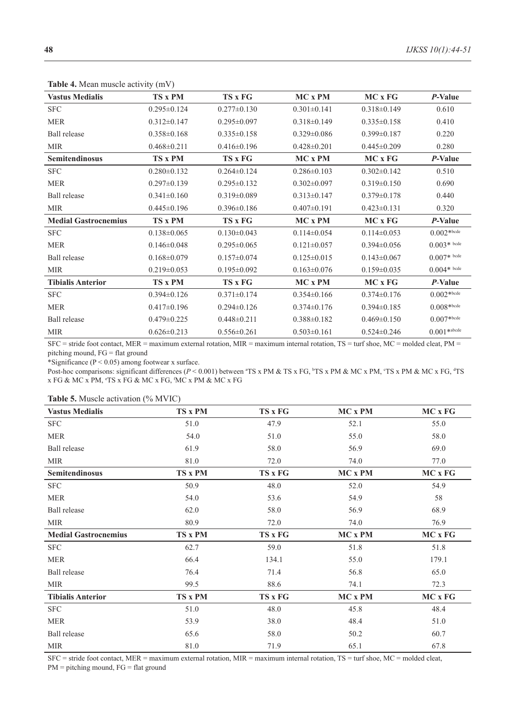| <b>rapic +.</b> ividan inducted activity (in v) |                   |                   |                   |                   |                 |
|-------------------------------------------------|-------------------|-------------------|-------------------|-------------------|-----------------|
| <b>Vastus Medialis</b>                          | <b>TS x PM</b>    | TS x FG           | MC x PM           | MC x FG           | P-Value         |
| <b>SFC</b>                                      | $0.295 \pm 0.124$ | $0.277 \pm 0.130$ | $0.301 \pm 0.141$ | $0.318 \pm 0.149$ | 0.610           |
| <b>MER</b>                                      | $0.312 \pm 0.147$ | $0.295 \pm 0.097$ | $0.318 \pm 0.149$ | $0.335 \pm 0.158$ | 0.410           |
| Ball release                                    | $0.358 \pm 0.168$ | $0.335 \pm 0.158$ | $0.329 \pm 0.086$ | $0.399 \pm 0.187$ | 0.220           |
| <b>MIR</b>                                      | $0.468 \pm 0.211$ | $0.416 \pm 0.196$ | $0.428 \pm 0.201$ | $0.445 \pm 0.209$ | 0.280           |
| Semitendinosus                                  | TS x PM           | TS x FG           | MC x PM           | MC x FG           | P-Value         |
| <b>SFC</b>                                      | $0.280 \pm 0.132$ | $0.264 \pm 0.124$ | $0.286 \pm 0.103$ | $0.302 \pm 0.142$ | 0.510           |
| <b>MER</b>                                      | $0.297 \pm 0.139$ | $0.295 \pm 0.132$ | $0.302 \pm 0.097$ | $0.319 \pm 0.150$ | 0.690           |
| <b>Ball</b> release                             | $0.341 \pm 0.160$ | $0.319 \pm 0.089$ | $0.313 \pm 0.147$ | $0.379 \pm 0.178$ | 0.440           |
| <b>MIR</b>                                      | $0.445 \pm 0.196$ | $0.396 \pm 0.186$ | $0.407 \pm 0.191$ | $0.423 \pm 0.131$ | 0.320           |
| <b>Medial Gastrocnemius</b>                     | <b>TS x PM</b>    | <b>TS x FG</b>    | $MC \times PM$    | $MC \times FG$    | P-Value         |
| <b>SFC</b>                                      | $0.138 \pm 0.065$ | $0.130 \pm 0.043$ | $0.114 \pm 0.054$ | $0.114 \pm 0.053$ | $0.002*{b}$ cde |
| <b>MER</b>                                      | $0.146 \pm 0.048$ | $0.295 \pm 0.065$ | $0.121 \pm 0.057$ | $0.394 \pm 0.056$ | $0.003*$ bcde   |
| <b>Ball</b> release                             | $0.168 \pm 0.079$ | $0.157 \pm 0.074$ | $0.125 \pm 0.015$ | $0.143 \pm 0.067$ | $0.007*$ bcde   |
| <b>MIR</b>                                      | $0.219 \pm 0.053$ | $0.195 \pm 0.092$ | $0.163 \pm 0.076$ | $0.159 \pm 0.035$ | $0.004*$ bcde   |
| <b>Tibialis Anterior</b>                        | <b>TS x PM</b>    | TS x FG           | MC x PM           | MC x FG           | P-Value         |
| <b>SFC</b>                                      | $0.394\pm0.126$   | $0.371 \pm 0.174$ | $0.354\pm0.166$   | $0.374\pm0.176$   | $0.002*{b}$ cde |
| <b>MER</b>                                      | $0.417 \pm 0.196$ | $0.294 \pm 0.126$ | $0.374 \pm 0.176$ | $0.394 \pm 0.185$ | $0.008*{b}%$    |
| <b>Ball</b> release                             | $0.479 \pm 0.225$ | $0.448 \pm 0.211$ | $0.388 \pm 0.182$ | $0.469 \pm 0.150$ | $0.007*$ bcde   |
| <b>MIR</b>                                      | $0.626 \pm 0.213$ | $0.556 \pm 0.261$ | $0.503 \pm 0.161$ | $0.524\pm0.246$   | $0.001*$ abcde  |

**Table 4.** Mean muscle activity (mV)

SFC = stride foot contact, MER = maximum external rotation, MIR = maximum internal rotation, TS = turf shoe, MC = molded cleat, PM = pitching mound, FG = flat ground

\*Significance (P < 0.05) among footwear x surface.

Post-hoc comparisons: significant differences (*P* < 0.001) between <sup>a</sup>TS x PM & TS x FG, <sup>b</sup>TS x PM & MC x PM, °TS x PM & MC x FG, <sup>a</sup>TS x FG & MC x PM, e TS x FG & MC x FG, f MC x PM & MC x FG

| <b>Vastus Medialis</b>      | <b>TS x PM</b> | TS x FG | MC x PM | MC x FG |
|-----------------------------|----------------|---------|---------|---------|
| <b>SFC</b>                  | 51.0           | 47.9    | 52.1    | 55.0    |
| <b>MER</b>                  | 54.0           | 51.0    | 55.0    | 58.0    |
| <b>Ball</b> release         | 61.9           | 58.0    | 56.9    | 69.0    |
| MIR                         | 81.0           | 72.0    | 74.0    | 77.0    |
| Semitendinosus              | TS x PM        | TS x FG | MC x PM | MC x FG |
| <b>SFC</b>                  | 50.9           | 48.0    | 52.0    | 54.9    |
| <b>MER</b>                  | 54.0           | 53.6    | 54.9    | 58      |
| <b>Ball</b> release         | 62.0           | 58.0    | 56.9    | 68.9    |
| MIR                         | 80.9           | 72.0    | 74.0    | 76.9    |
| <b>Medial Gastrocnemius</b> | TS x PM        | TS x FG | MC x PM | MC x FG |
| <b>SFC</b>                  | 62.7           | 59.0    | 51.8    | 51.8    |
| <b>MER</b>                  | 66.4           | 134.1   | 55.0    | 179.1   |
| <b>Ball</b> release         | 76.4           | 71.4    | 56.8    | 65.0    |
| <b>MIR</b>                  | 99.5           | 88.6    | 74.1    | 72.3    |
| <b>Tibialis Anterior</b>    | <b>TS x PM</b> | TS x FG | MC x PM | MC x FG |
| <b>SFC</b>                  | 51.0           | 48.0    | 45.8    | 48.4    |
| <b>MER</b>                  | 53.9           | 38.0    | 48.4    | 51.0    |
| <b>Ball</b> release         | 65.6           | 58.0    | 50.2    | 60.7    |
| <b>MIR</b>                  | 81.0           | 71.9    | 65.1    | 67.8    |

SFC = stride foot contact, MER = maximum external rotation, MIR = maximum internal rotation, TS = turf shoe, MC = molded cleat, PM = pitching mound, FG = flat ground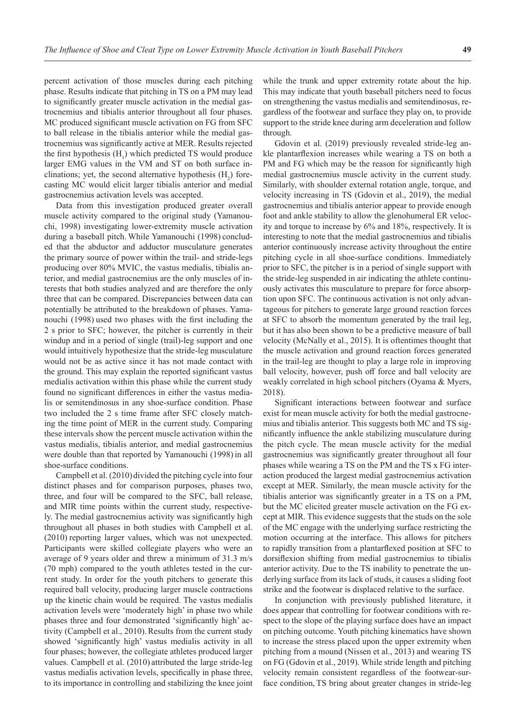percent activation of those muscles during each pitching phase. Results indicate that pitching in TS on a PM may lead to significantly greater muscle activation in the medial gastrocnemius and tibialis anterior throughout all four phases. MC produced significant muscle activation on FG from SFC to ball release in the tibialis anterior while the medial gastrocnemius was significantly active at MER. Results rejected the first hypothesis  $(H_1)$  which predicted TS would produce larger EMG values in the VM and ST on both surface inclinations; yet, the second alternative hypothesis  $(H_2)$  forecasting MC would elicit larger tibialis anterior and medial gastrocnemius activation levels was accepted.

Data from this investigation produced greater overall muscle activity compared to the original study (Yamanouchi, 1998) investigating lower-extremity muscle activation during a baseball pitch. While Yamanouchi (1998) concluded that the abductor and adductor musculature generates the primary source of power within the trail- and stride-legs producing over 80% MVIC, the vastus medialis, tibialis anterior, and medial gastrocnemius are the only muscles of interests that both studies analyzed and are therefore the only three that can be compared. Discrepancies between data can potentially be attributed to the breakdown of phases. Yamanouchi (1998) used two phases with the first including the 2 s prior to SFC; however, the pitcher is currently in their windup and in a period of single (trail)-leg support and one would intuitively hypothesize that the stride-leg musculature would not be as active since it has not made contact with the ground. This may explain the reported significant vastus medialis activation within this phase while the current study found no significant differences in either the vastus medialis or semitendinosus in any shoe-surface condition. Phase two included the 2 s time frame after SFC closely matching the time point of MER in the current study. Comparing these intervals show the percent muscle activation within the vastus medialis, tibialis anterior, and medial gastrocnemius were double than that reported by Yamanouchi (1998) in all shoe-surface conditions.

Campbell et al. (2010) divided the pitching cycle into four distinct phases and for comparison purposes, phases two, three, and four will be compared to the SFC, ball release, and MIR time points within the current study, respectively. The medial gastrocnemius activity was significantly high throughout all phases in both studies with Campbell et al. (2010) reporting larger values, which was not unexpected. Participants were skilled collegiate players who were an average of 9 years older and threw a minimum of 31.3 m/s (70 mph) compared to the youth athletes tested in the current study. In order for the youth pitchers to generate this required ball velocity, producing larger muscle contractions up the kinetic chain would be required. The vastus medialis activation levels were 'moderately high' in phase two while phases three and four demonstrated 'significantly high' activity (Campbell et al., 2010). Results from the current study showed 'significantly high' vastus medialis activity in all four phases; however, the collegiate athletes produced larger values. Campbell et al. (2010) attributed the large stride-leg vastus medialis activation levels, specifically in phase three, to its importance in controlling and stabilizing the knee joint

while the trunk and upper extremity rotate about the hip. This may indicate that youth baseball pitchers need to focus on strengthening the vastus medialis and semitendinosus, regardless of the footwear and surface they play on, to provide support to the stride knee during arm deceleration and follow through.

Gdovin et al. (2019) previously revealed stride-leg ankle plantarflexion increases while wearing a TS on both a PM and FG which may be the reason for significantly high medial gastrocnemius muscle activity in the current study. Similarly, with shoulder external rotation angle, torque, and velocity increasing in TS (Gdovin et al., 2019), the medial gastrocnemius and tibialis anterior appear to provide enough foot and ankle stability to allow the glenohumeral ER velocity and torque to increase by 6% and 18%, respectively. It is interesting to note that the medial gastrocnemius and tibialis anterior continuously increase activity throughout the entire pitching cycle in all shoe-surface conditions. Immediately prior to SFC, the pitcher is in a period of single support with the stride-leg suspended in air indicating the athlete continuously activates this musculature to prepare for force absorption upon SFC. The continuous activation is not only advantageous for pitchers to generate large ground reaction forces at SFC to absorb the momentum generated by the trail leg, but it has also been shown to be a predictive measure of ball velocity (McNally et al., 2015). It is oftentimes thought that the muscle activation and ground reaction forces generated in the trail-leg are thought to play a large role in improving ball velocity, however, push off force and ball velocity are weakly correlated in high school pitchers (Oyama & Myers, 2018).

Significant interactions between footwear and surface exist for mean muscle activity for both the medial gastrocnemius and tibialis anterior. This suggests both MC and TS significantly influence the ankle stabilizing musculature during the pitch cycle. The mean muscle activity for the medial gastrocnemius was significantly greater throughout all four phases while wearing a TS on the PM and the TS x FG interaction produced the largest medial gastrocnemius activation except at MER. Similarly, the mean muscle activity for the tibialis anterior was significantly greater in a TS on a PM, but the MC elicited greater muscle activation on the FG except at MIR. This evidence suggests that the studs on the sole of the MC engage with the underlying surface restricting the motion occurring at the interface. This allows for pitchers to rapidly transition from a plantarflexed position at SFC to dorsiflexion shifting from medial gastrocnemius to tibialis anterior activity. Due to the TS inability to penetrate the underlying surface from its lack of studs, it causes a sliding foot strike and the footwear is displaced relative to the surface.

In conjunction with previously published literature, it does appear that controlling for footwear conditions with respect to the slope of the playing surface does have an impact on pitching outcome. Youth pitching kinematics have shown to increase the stress placed upon the upper extremity when pitching from a mound (Nissen et al., 2013) and wearing TS on FG (Gdovin et al., 2019). While stride length and pitching velocity remain consistent regardless of the footwear-surface condition, TS bring about greater changes in stride-leg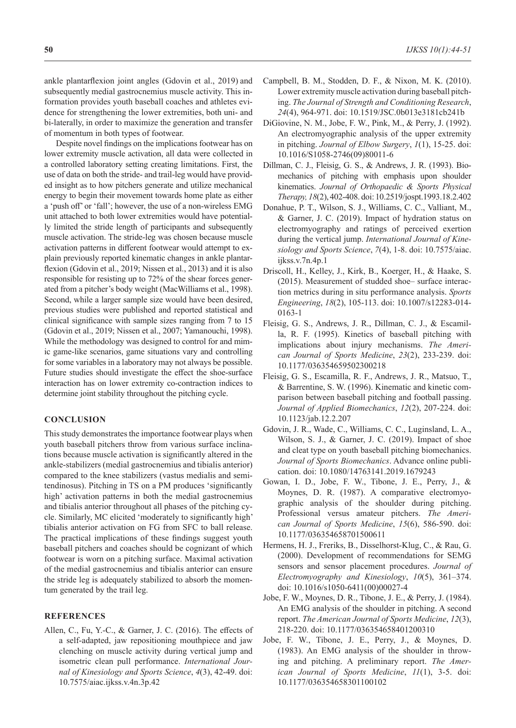ankle plantarflexion joint angles (Gdovin et al., 2019) and subsequently medial gastrocnemius muscle activity. This information provides youth baseball coaches and athletes evidence for strengthening the lower extremities, both uni- and bi-laterally, in order to maximize the generation and transfer of momentum in both types of footwear.

Despite novel findings on the implications footwear has on lower extremity muscle activation, all data were collected in a controlled laboratory setting creating limitations. First, the use of data on both the stride- and trail-leg would have provided insight as to how pitchers generate and utilize mechanical energy to begin their movement towards home plate as either a 'push off' or 'fall'; however, the use of a non-wireless EMG unit attached to both lower extremities would have potentially limited the stride length of participants and subsequently muscle activation. The stride-leg was chosen because muscle activation patterns in different footwear would attempt to explain previously reported kinematic changes in ankle plantarflexion (Gdovin et al., 2019; Nissen et al., 2013) and it is also responsible for resisting up to 72% of the shear forces generated from a pitcher's body weight (MacWilliams et al., 1998). Second, while a larger sample size would have been desired, previous studies were published and reported statistical and clinical significance with sample sizes ranging from 7 to 15 (Gdovin et al., 2019; Nissen et al., 2007; Yamanouchi, 1998). While the methodology was designed to control for and mimic game-like scenarios, game situations vary and controlling for some variables in a laboratory may not always be possible. Future studies should investigate the effect the shoe-surface interaction has on lower extremity co-contraction indices to determine joint stability throughout the pitching cycle.

#### **CONCLUSION**

This study demonstrates the importance footwear plays when youth baseball pitchers throw from various surface inclinations because muscle activation is significantly altered in the ankle-stabilizers (medial gastrocnemius and tibialis anterior) compared to the knee stabilizers (vastus medialis and semitendinosus). Pitching in TS on a PM produces 'significantly high' activation patterns in both the medial gastrocnemius and tibialis anterior throughout all phases of the pitching cycle. Similarly, MC elicited 'moderately to significantly high' tibialis anterior activation on FG from SFC to ball release. The practical implications of these findings suggest youth baseball pitchers and coaches should be cognizant of which footwear is worn on a pitching surface. Maximal activation of the medial gastrocnemius and tibialis anterior can ensure the stride leg is adequately stabilized to absorb the momentum generated by the trail leg.

#### **REFERENCES**

Allen, C., Fu, Y.-C., & Garner, J. C. (2016). The effects of a self-adapted, jaw repositioning mouthpiece and jaw clenching on muscle activity during vertical jump and isometric clean pull performance. *International Journal of Kinesiology and Sports Science*, *4*(3), 42-49. doi: 10.7575/aiac.ijkss.v.4n.3p.42

- Campbell, B. M., Stodden, D. F., & Nixon, M. K. (2010). Lower extremity muscle activation during baseball pitching. *The Journal of Strength and Conditioning Research*, *24*(4), 964-971. doi: 10.1519/JSC.0b013e3181cb241b
- DiGiovine, N. M., Jobe, F. W., Pink, M., & Perry, J. (1992). An electromyographic analysis of the upper extremity in pitching. *Journal of Elbow Surgery*, *1*(1), 15-25. doi: 10.1016/S1058-2746(09)80011-6
- Dillman, C. J., Fleisig, G. S., & Andrews, J. R. (1993). Biomechanics of pitching with emphasis upon shoulder kinematics. *Journal of Orthopaedic & Sports Physical Therapy, 18*(2), 402-408. doi: 10.2519/jospt.1993.18.2.402
- Donahue, P. T., Wilson, S. J., Williams, C. C., Valliant, M., & Garner, J. C. (2019). Impact of hydration status on electromyography and ratings of perceived exertion during the vertical jump. *International Journal of Kinesiology and Sports Science*, *7*(4), 1-8. doi: 10.7575/aiac. ijkss.v.7n.4p.1
- Driscoll, H., Kelley, J., Kirk, B., Koerger, H., & Haake, S. (2015). Measurement of studded shoe– surface interaction metrics during in situ performance analysis. *Sports Engineering*, *18*(2), 105-113. doi: 10.1007/s12283-014- 0163-1
- Fleisig, G. S., Andrews, J. R., Dillman, C. J., & Escamilla, R. F. (1995). Kinetics of baseball pitching with implications about injury mechanisms. *The American Journal of Sports Medicine*, *23*(2), 233-239. doi: 10.1177/036354659502300218
- Fleisig, G. S., Escamilla, R. F., Andrews, J. R., Matsuo, T., & Barrentine, S. W. (1996). Kinematic and kinetic comparison between baseball pitching and football passing. *Journal of Applied Biomechanics*, *12*(2), 207-224. doi: 10.1123/jab.12.2.207
- Gdovin, J. R., Wade, C., Williams, C. C., Luginsland, L. A., Wilson, S. J., & Garner, J. C. (2019). Impact of shoe and cleat type on youth baseball pitching biomechanics. *Journal of Sports Biomechanics*. Advance online publication. doi: 10.1080/14763141.2019.1679243
- Gowan, I. D., Jobe, F. W., Tibone, J. E., Perry, J., & Moynes, D. R. (1987). A comparative electromyographic analysis of the shoulder during pitching. Professional versus amateur pitchers. *The American Journal of Sports Medicine*, *15*(6), 586-590. doi: 10.1177/036354658701500611
- Hermens, H. J., Freriks, B., Disselhorst-Klug, C., & Rau, G. (2000). Development of recommendations for SEMG sensors and sensor placement procedures. *Journal of Electromyography and Kinesiology*, *10*(5), 361–374. doi: 10.1016/s1050-6411(00)00027-4
- Jobe, F. W., Moynes, D. R., Tibone, J. E., & Perry, J. (1984). An EMG analysis of the shoulder in pitching. A second report. *The American Journal of Sports Medicine*, *12*(3), 218-220. doi: 10.1177/036354658401200310
- Jobe, F. W., Tibone, J. E., Perry, J., & Moynes, D. (1983). An EMG analysis of the shoulder in throwing and pitching. A preliminary report. *The American Journal of Sports Medicine*, *11*(1), 3-5. doi: 10.1177/036354658301100102